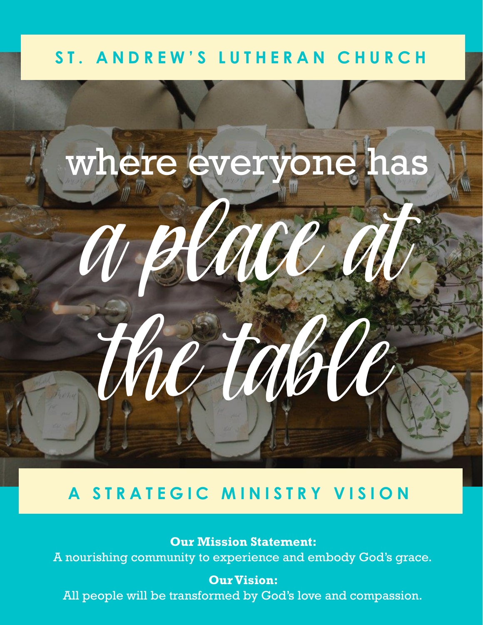## ST. ANDREW'S LUTHERAN CHURCH



## **A STRATEGIC MINISTRY VISION**

**Our Mission Statement:**  A nourishing community to experience and embody God's grace.

**Our Vision:**  All people will be transformed by God's love and compassion.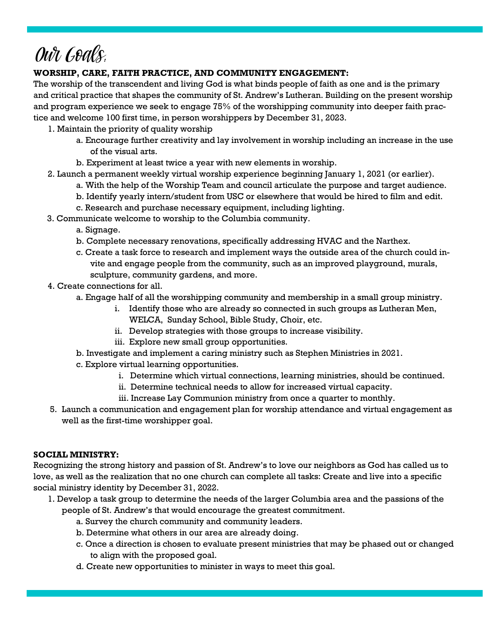## Our Goals:

#### **WORSHIP, CARE, FAITH PRACTICE, AND COMMUNITY ENGAGEMENT:**

The worship of the transcendent and living God is what binds people of faith as one and is the primary and critical practice that shapes the community of St. Andrew's Lutheran. Building on the present worship and program experience we seek to engage 75% of the worshipping community into deeper faith practice and welcome 100 first time, in person worshippers by December 31, 2023.

- 1. Maintain the priority of quality worship
	- a. Encourage further creativity and lay involvement in worship including an increase in the use of the visual arts.
	- b. Experiment at least twice a year with new elements in worship.
- 2. Launch a permanent weekly virtual worship experience beginning January 1, 2021 (or earlier).
	- a. With the help of the Worship Team and council articulate the purpose and target audience.
	- b. Identify yearly intern/student from USC or elsewhere that would be hired to film and edit.
	- c. Research and purchase necessary equipment, including lighting.
- 3. Communicate welcome to worship to the Columbia community.
	- a. Signage.
	- b. Complete necessary renovations, specifically addressing HVAC and the Narthex.
	- c. Create a task force to research and implement ways the outside area of the church could invite and engage people from the community, such as an improved playground, murals, sculpture, community gardens, and more.
- 4. Create connections for all.
	- a. Engage half of all the worshipping community and membership in a small group ministry.
		- i. Identify those who are already so connected in such groups as Lutheran Men, WELCA, Sunday School, Bible Study, Choir, etc.
		- ii. Develop strategies with those groups to increase visibility.
		- iii. Explore new small group opportunities.
	- b. Investigate and implement a caring ministry such as Stephen Ministries in 2021.
	- c. Explore virtual learning opportunities.
		- i. Determine which virtual connections, learning ministries, should be continued.
		- ii. Determine technical needs to allow for increased virtual capacity.
		- iii. Increase Lay Communion ministry from once a quarter to monthly.
- 5. Launch a communication and engagement plan for worship attendance and virtual engagement as well as the first-time worshipper goal.

#### **SOCIAL MINISTRY:**

Recognizing the strong history and passion of St. Andrew's to love our neighbors as God has called us to love, as well as the realization that no one church can complete all tasks: Create and live into a specific social ministry identity by December 31, 2022.

- 1. Develop a task group to determine the needs of the larger Columbia area and the passions of the people of St. Andrew's that would encourage the greatest commitment.
	- a. Survey the church community and community leaders.
	- b. Determine what others in our area are already doing.
	- c. Once a direction is chosen to evaluate present ministries that may be phased out or changed to align with the proposed goal.
	- d. Create new opportunities to minister in ways to meet this goal.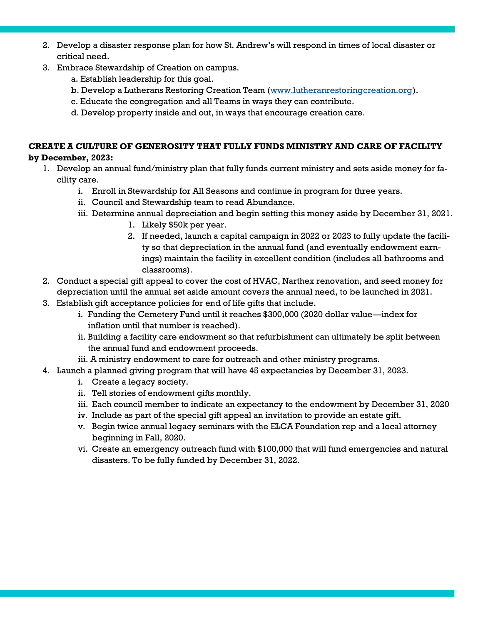- 2. Develop a disaster response plan for how St. Andrew's will respond in times of local disaster or critical need.
- 3. Embrace Stewardship of Creation on campus.
	- a. Establish leadership for this goal.
	- b. Develop a Lutherans Restoring Creation Team [\(www.lutheranrestoringcreation.org\)](http://www.lutheranrestoringcraetion.org).
	- c. Educate the congregation and all Teams in ways they can contribute.
	- d. Develop property inside and out, in ways that encourage creation care.

#### **CREATE A CULTURE OF GENEROSITY THAT FULLY FUNDS MINISTRY AND CARE OF FACILITY by December, 2023:**

- 1. Develop an annual fund/ministry plan that fully funds current ministry and sets aside money for facility care.
	- i. Enroll in Stewardship for All Seasons and continue in program for three years.
	- ii. Council and Stewardship team to read Abundance.
	- iii. Determine annual depreciation and begin setting this money aside by December 31, 2021.
		- 1. Likely \$50k per year.
		- 2. If needed, launch a capital campaign in 2022 or 2023 to fully update the facility so that depreciation in the annual fund (and eventually endowment earnings) maintain the facility in excellent condition (includes all bathrooms and classrooms).
- 2. Conduct a special gift appeal to cover the cost of HVAC, Narthex renovation, and seed money for depreciation until the annual set aside amount covers the annual need, to be launched in 2021.
- 3. Establish gift acceptance policies for end of life gifts that include.
	- i. Funding the Cemetery Fund until it reaches \$300,000 (2020 dollar value—index for inflation until that number is reached).
	- ii. Building a facility care endowment so that refurbishment can ultimately be split between the annual fund and endowment proceeds.
	- iii. A ministry endowment to care for outreach and other ministry programs.
- 4. Launch a planned giving program that will have 45 expectancies by December 31, 2023.
	- i. Create a legacy society.
	- ii. Tell stories of endowment gifts monthly.
	- iii. Each council member to indicate an expectancy to the endowment by December 31, 2020
	- iv. Include as part of the special gift appeal an invitation to provide an estate gift.
	- v. Begin twice annual legacy seminars with the ELCA Foundation rep and a local attorney beginning in Fall, 2020.
	- vi. Create an emergency outreach fund with \$100,000 that will fund emergencies and natural disasters. To be fully funded by December 31, 2022.